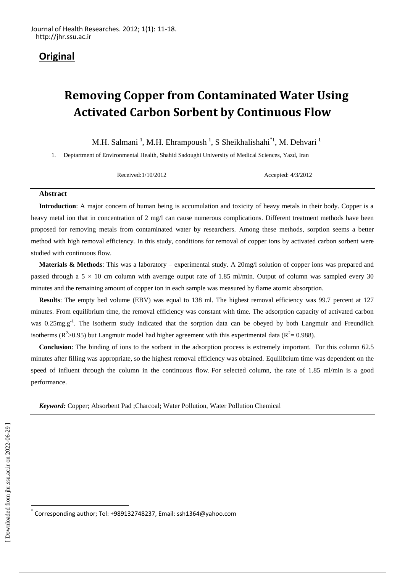# **Original**

# **Removing Copper from Contaminated Water Using Activated Carbon Sorbent by Continuous Flow**

M.H. Salmani **<sup>1</sup>** , M.H. Ehrampoush **<sup>1</sup>** , S Sheikhalishahi\***<sup>1</sup>** , M. Dehvari **<sup>1</sup>**

1. Deptartment of Environmental Health, Shahid Sadoughi University of Medical Sciences, Yazd, Iran

Received:1/10/2012 Accepted: 4/3/2012

#### **Abstract**

**Introduction**: A major concern of human being is accumulation and toxicity of heavy metals in their body. Copper is a heavy metal ion that in concentration of 2 mg/l can cause numerous complications. Different treatment methods have been proposed for removing metals from contaminated water by researchers. Among these methods, sorption seems a better method with high removal efficiency. In this study, conditions for removal of copper ions by activated carbon sorbent were studied with continuous flow.

**Materials & Methods**: This was a laboratory – experimental study. A 20mg/l solution of copper ions was prepared and passed through a  $5 \times 10$  cm column with average output rate of 1.85 ml/min. Output of column was sampled every 30 minutes and the remaining amount of copper ion in each sample was measured by flame atomic absorption.

**Results**: The empty bed volume (EBV) was equal to 138 ml. The highest removal efficiency was 99.7 percent at 127 minutes. From equilibrium time, the removal efficiency was constant with time. The adsorption capacity of activated carbon was 0.25mg.g<sup>-1</sup>. The isotherm study indicated that the sorption data can be obeyed by both Langmuir and Freundlich isotherms ( $\mathbb{R}^2$ >0.95) but Langmuir model had higher agreement with this experimental data ( $\mathbb{R}^2$ = 0.988).

**Conclusion**: The binding of ions to the sorbent in the adsorption process is extremely important. For this column 62.5 minutes after filling was appropriate, so the highest removal efficiency was obtained. Equilibrium time was dependent on the speed of influent through the column in the continuous flow. For selected column, the rate of 1.85 ml/min is a good performance.

*Keyword:* Copper; Absorbent Pad ;Charcoal; Water Pollution, Water Pollution Chemical

 $\ddot{\phantom{a}}$ \*

Corresponding author; Tel: +989132748237, Email: ssh1364@yahoo.com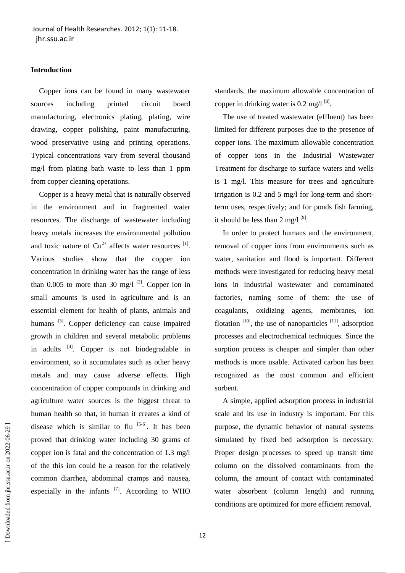# **Introduction**

Copper ions can be found in many wastewater sources including printed circuit board manufacturing, electronics plating, plating, wire drawing, copper polishing, paint manufacturing, wood preservative using and printing operations. Typical concentrations vary from several thousand mg/l from plating bath waste to less than 1 ppm from copper cleaning operations.

Copper is a heavy metal that is naturally observed in the environment and in fragmented water resources. The discharge of wastewater including heavy metals increases the environmental pollution and toxic nature of  $Cu^{2+}$  affects water resources  $^{[1]}$ . Various studies show that the copper ion concentration in drinking water has the range of less than 0.005 to more than 30 mg/l  $^{[2]}$ . Copper ion in small amounts is used in agriculture and is an essential element for health of plants, animals and humans<sup>[3]</sup>. Copper deficiency can cause impaired growth in children and several metabolic problems in adults <sup>[4]</sup>. Copper is not biodegradable in environment, so it accumulates such as other heavy metals and may cause adverse effects. High concentration of copper compounds in drinking and agriculture water sources is the biggest threat to human health so that, in human it creates a kind of disease which is similar to flu  $[5-6]$ . It has been proved that drinking water including 30 grams of copper ion is fatal and the concentration of 1.3 mg/l of the this ion could be a reason for the relatively common diarrhea, abdominal cramps and nausea, especially in the infants  $^{[7]}$ . According to WHO standards, the maximum allowable concentration of copper in drinking water is  $0.2 \text{ mg/l}^{[8]}$ .

The use of treated wastewater (effluent) has been limited for different purposes due to the presence of copper ions. The maximum allowable concentration of copper ions in the Industrial Wastewater Treatment for discharge to surface waters and wells is 1 mg/l. This measure for trees and agriculture irrigation is 0.2 and 5 mg/l for long-term and shortterm uses, respectively; and for ponds fish farming, it should be less than  $2 \text{ mg/l}^{[9]}$ .

In order to protect humans and the environment, removal of copper ions from environments such as water, sanitation and flood is important. Different methods were investigated for reducing heavy metal ions in industrial wastewater and contaminated factories, naming some of them: the use of coagulants, oxidizing agents, membranes, ion flotation  $[10]$ , the use of nanoparticles  $[11]$ , adsorption processes and electrochemical techniques. Since the sorption process is cheaper and simpler than other methods is more usable. Activated carbon has been recognized as the most common and efficient sorbent.

A simple, applied adsorption process in industrial scale and its use in industry is important. For this purpose, the dynamic behavior of natural systems simulated by fixed bed adsorption is necessary. Proper design processes to speed up transit time column on the dissolved contaminants from the column, the amount of contact with contaminated water absorbent (column length) and running conditions are optimized for more efficient removal.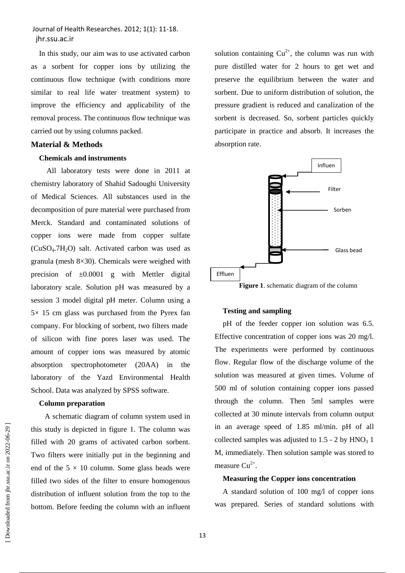In this study, our aim was to use activated carbon as a sorbent for copper ions by utilizing the continuous flow technique (with conditions more similar to real life water treatment system) to improve the efficiency and applicability of the removal process. The continuous flow technique was carried out by using columns packed.

# **Material & Methods**

#### **Chemicals and instruments**

 All laboratory tests were done in 2011 at chemistry laboratory of Shahid Sadoughi University of Medical Sciences. All substances used in the decomposition of pure material were purchased from Merck. Standard and contaminated solutions of copper ions were made from copper sulfate  $(CuSO<sub>4</sub>.7H<sub>2</sub>O)$  salt. Activated carbon was used as granula (mesh 8×30). Chemicals were weighed with precision of  $\pm 0.0001$  g with Mettler digital laboratory scale. Solution pH was measured by a session 3 model digital pH meter. Column using a  $5\times$  15 cm glass was purchased from the Pyrex fan company. For blocking of sorbent, two filters made of silicon with fine pores laser was used. The amount of copper ions was measured by atomic absorption spectrophotometer (20AA) in the laboratory of the Yazd Environmental Health School. Data was analyzed by SPSS software.

#### **Column preparation**

 A schematic diagram of column system used in this study is depicted in figure 1. The column was filled with 20 grams of activated carbon sorbent. Two filters were initially put in the beginning and end of the  $5 \times 10$  column. Some glass beads were filled two sides of the filter to ensure homogenous distribution of influent solution from the top to the bottom. Before feeding the column with an influent solution containing  $Cu^{2+}$ , the column was run with pure distilled water for 2 hours to get wet and preserve the equilibrium between the water and sorbent. Due to uniform distribution of solution, the pressure gradient is reduced and canalization of the sorbent is decreased. So, sorbent particles quickly participate in practice and absorb. It increases the absorption rate.



**Figure 1**. schematic diagram of the column

#### **Testing and sampling**

pH of the feeder copper ion solution was 6.5. Effective concentration of copper ions was 20 mg/l. The experiments were performed by continuous flow. Regular flow of the discharge volume of the solution was measured at given times. Volume of 500 ml of solution containing copper ions passed through the column. Then 5ml samples were collected at 30 minute intervals from column output in an average speed of 1.85 ml/min. pH of all collected samples was adjusted to  $1.5 - 2$  by  $HNO<sub>3</sub> 1$ M, immediately. Then solution sample was stored to measure  $Cu^{2+}$ .

#### **Measuring the Copper ions concentration**

A standard solution of 100 mg/l of copper ions was prepared. Series of standard solutions with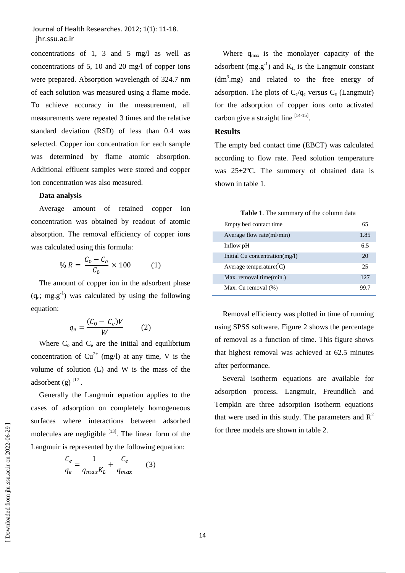concentrations of 1, 3 and 5 mg/l as well as concentrations of 5, 10 and 20 mg/l of copper ions were prepared. Absorption wavelength of 324.7 nm of each solution was measured using a flame mode. To achieve accuracy in the measurement, all measurements were repeated 3 times and the relative standard deviation (RSD) of less than 0.4 was selected. Copper ion concentration for each sample was determined by flame atomic absorption. Additional effluent samples were stored and copper ion concentration was also measured.

#### **Data analysis**

Average amount of retained copper ion concentration was obtained by readout of atomic absorption. The removal efficiency of copper ions was calculated using this formula:

$$
\% R = \frac{C_0 - C_e}{C_0} \times 100 \tag{1}
$$

The amount of copper ion in the adsorbent phase  $(q_e; mg.g^{-1})$  was calculated by using the following equation:

$$
q_e = \frac{(C_0 - C_e)V}{W} \tag{2}
$$

Where  $C_0$  and  $C_e$  are the initial and equilibrium concentration of  $Cu^{2+}$  (mg/l) at any time, V is the volume of solution (L) and W is the mass of the adsorbent  $(g)$ <sup>[12]</sup>.

Generally the Langmuir equation applies to the cases of adsorption on completely homogeneous surfaces where interactions between adsorbed molecules are negligible  $[13]$ . The linear form of the Langmuir is represented by the following equation:

$$
\frac{C_e}{q_e} = \frac{1}{q_{max}K_L} + \frac{C_e}{q_{max}} \qquad (3)
$$

Where  $q_{max}$  is the monolayer capacity of the adsorbent (mg.g<sup>-1</sup>) and  $K<sub>L</sub>$  is the Langmuir constant  $(dm<sup>3</sup>.mg)$  and related to the free energy of adsorption. The plots of  $C_e/q_e$  versus  $C_e$  (Langmuir) for the adsorption of copper ions onto activated carbon give a straight line  $[14-15]$ .

### **Results**

The empty bed contact time (EBCT) was calculated according to flow rate. Feed solution temperature was 25±2ºC. The summery of obtained data is shown in table 1.

| Table 1. The summary of the column data |  |  |  |  |  |
|-----------------------------------------|--|--|--|--|--|
|-----------------------------------------|--|--|--|--|--|

| Empty bed contact time              | 65   |
|-------------------------------------|------|
| Average flow rate $\text{m}$ l/min) | 1.85 |
| Inflow pH                           | 6.5  |
| Initial Cu concentration(mg/l)      | 20   |
| Average temperature( $^{\circ}$ C)  | 25   |
| Max. removal time(min.)             | 12.7 |
| Max. Cu removal (%)                 |      |

Removal efficiency was plotted in time of running using SPSS software. Figure 2 shows the percentage of removal as a function of time. This figure shows that highest removal was achieved at 62.5 minutes after performance.

Several isotherm equations are available for adsorption process. Langmuir, Freundlich and Tempkin are three adsorption isotherm equations that were used in this study. The parameters and  $R^2$ for three models are shown in table 2.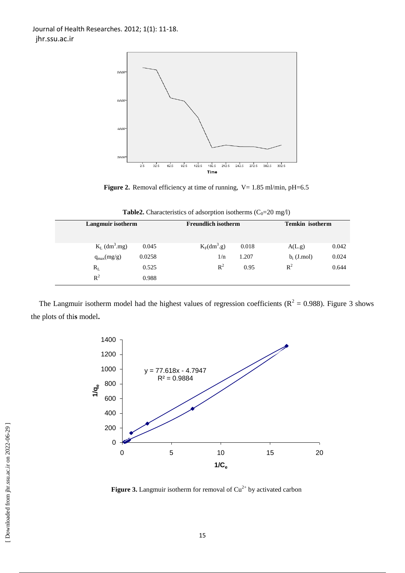

**Figure 2.** Removal efficiency at time of running, V= 1.85 ml/min, pH=6.5

| Langmuir isotherm |                                      | <b>Freundlich isotherm</b> |       | <b>Temkin</b> isotherm |       |  |  |  |  |
|-------------------|--------------------------------------|----------------------------|-------|------------------------|-------|--|--|--|--|
|                   |                                      |                            |       |                        |       |  |  |  |  |
|                   |                                      |                            |       |                        |       |  |  |  |  |
|                   | $K_L$ (dm <sup>3</sup> .mg)<br>0.045 | $K_F(dm^3.g)$              | 0.018 | A(L,g)                 | 0.042 |  |  |  |  |
|                   | 0.0258                               | 1/n                        | 1.207 | $b_t$ (J.mol)          | 0.024 |  |  |  |  |
|                   | $q_{max}(mg/g)$                      |                            |       |                        |       |  |  |  |  |
| $\rm R_L$         | 0.525                                | $\mathbb{R}^2$             | 0.95  | $R^2$                  | 0.644 |  |  |  |  |
| $R^2$             | 0.988                                |                            |       |                        |       |  |  |  |  |
|                   |                                      |                            |       |                        |       |  |  |  |  |

**Table2.** Characteristics of adsorption isotherms  $(C_0=20 \text{ mg/l})$ 

The Langmuir isotherm model had the highest values of regression coefficients ( $R^2 = 0.988$ ). Figure 3 shows the plots of thi**s** model**.**



**Figure 3.** Langmuir isotherm for removal of  $Cu^{2+}$  by activated carbon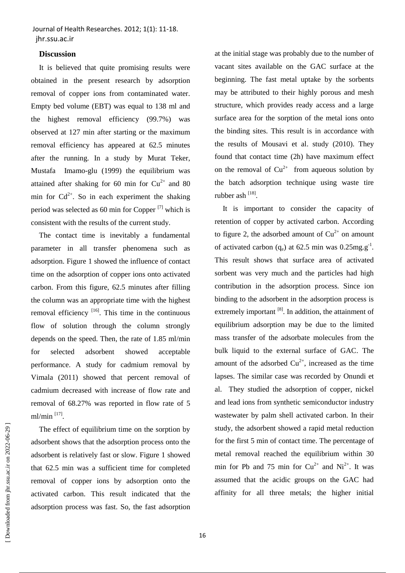#### **Discussion**

It is believed that quite promising results were obtained in the present research by adsorption removal of copper ions from contaminated water. Empty bed volume (EBT) was equal to 138 ml and the highest removal efficiency (99.7%) was observed at 127 min after starting or the maximum removal efficiency has appeared at 62.5 minutes after the running. In a study by Murat Teker, Mustafa Imamo-glu (1999) the equilibrium was attained after shaking for 60 min for  $Cu^{2+}$  and 80 min for  $Cd^{2+}$ . So in each experiment the shaking period was selected as 60 min for Copper  $[7]$  which is consistent with the results of the current study.

The contact time is inevitably a fundamental parameter in all transfer phenomena such as adsorption. Figure 1 showed the influence of contact time on the adsorption of copper ions onto activated carbon. From this figure, 62.5 minutes after filling the column was an appropriate time with the highest removal efficiency  $\left[16\right]$ . This time in the continuous flow of solution through the column strongly depends on the speed. Then, the rate of 1.85 ml/min for selected adsorbent showed acceptable performance. A study for cadmium removal by Vimala (2011) showed that percent removal of cadmium decreased with increase of flow rate and removal of 68.27% was reported in flow rate of 5 ml/min [17].

The effect of equilibrium time on the sorption by adsorbent shows that the adsorption process onto the adsorbent is relatively fast or slow. Figure 1 showed that 62.5 min was a sufficient time for completed removal of copper ions by adsorption onto the activated carbon. This result indicated that the adsorption process was fast. So, the fast adsorption at the initial stage was probably due to the number of vacant sites available on the GAC surface at the beginning. The fast metal uptake by the sorbents may be attributed to their highly porous and mesh structure, which provides ready access and a large surface area for the sorption of the metal ions onto the binding sites. This result is in accordance with the results of Mousavi et al. study (2010). They found that contact time (2h) have maximum effect on the removal of  $Cu^{2+}$  from aqueous solution by the batch adsorption technique using waste tire rubber ash [18].

It is important to consider the capacity of retention of copper by activated carbon. According to figure 2, the adsorbed amount of  $Cu^{2+}$  on amount of activated carbon  $(q_e)$  at 62.5 min was 0.25mg.g<sup>-1</sup>. This result shows that surface area of activated sorbent was very much and the particles had high contribution in the adsorption process. Since ion binding to the adsorbent in the adsorption process is extremely important <sup>[8]</sup>. In addition, the attainment of equilibrium adsorption may be due to the limited mass transfer of the adsorbate molecules from the bulk liquid to the external surface of GAC. The amount of the adsorbed  $Cu^{2+}$ , increased as the time lapses. The similar case was recorded by Onundi et al. They studied the adsorption of copper, nickel and lead ions from synthetic semiconductor industry wastewater by palm shell activated carbon. In their study, the adsorbent showed a rapid metal reduction for the first 5 min of contact time. The percentage of metal removal reached the equilibrium within 30 min for Pb and 75 min for  $Cu^{2+}$  and  $Ni^{2+}$ . It was assumed that the acidic groups on the GAC had affinity for all three metals; the higher initial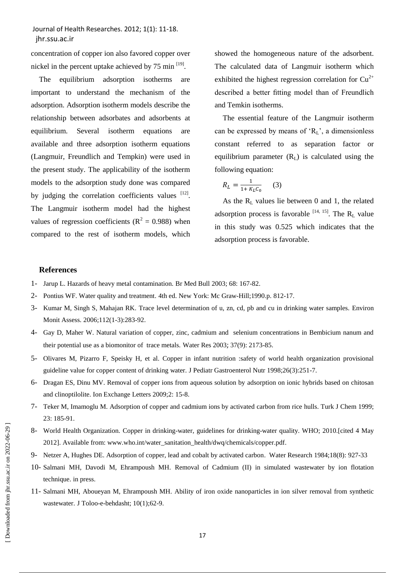concentration of copper ion also favored copper over nickel in the percent uptake achieved by  $75 \text{ min}$ <sup>[19]</sup>.

The equilibrium adsorption isotherms are important to understand the mechanism of the adsorption. Adsorption isotherm models describe the relationship between adsorbates and adsorbents at equilibrium. Several isotherm equations are available and three adsorption isotherm equations (Langmuir, Freundlich and Tempkin) were used in the present study. The applicability of the isotherm models to the adsorption study done was compared by judging the correlation coefficients values  $[12]$ . The Langmuir isotherm model had the highest values of regression coefficients ( $R^2 = 0.988$ ) when compared to the rest of isotherm models, which

showed the homogeneous nature of the adsorbent. The calculated data of Langmuir isotherm which exhibited the highest regression correlation for  $Cu^{2+}$ described a better fitting model than of Freundlich and Temkin isotherms.

The essential feature of the Langmuir isotherm can be expressed by means of  $R_L$ , a dimensionless constant referred to as separation factor or equilibrium parameter  $(R<sub>L</sub>)$  is calculated using the following equation:

$$
R_L = \frac{1}{1 + K_L C_0} \qquad (3)
$$

As the  $R_L$  values lie between 0 and 1, the related adsorption process is favorable  $[14, 15]$ . The  $R_L$  value in this study was 0.525 which indicates that the adsorption process is favorable.

#### **References**

- 1- Jarup L. Hazards of heavy metal contamination. Br Med Bull 2003; 68: 167-82.
- 2- Pontius WF. Water quality and treatment. 4th ed. New York: Mc Graw-Hill;1990.p. 812-17.
- 3- Kumar M, Singh S, Mahajan RK. Trace level determination of u, zn, cd, pb and cu in drinking water samples. Environ Monit Assess. 2006;112(1-3):283-92.
- 4- [Gay D,](http://www.ncbi.nlm.nih.gov/pubmed?term=%22Gay%20D%22%5BAuthor%5D) [Maher W.](http://www.ncbi.nlm.nih.gov/pubmed?term=%22Maher%20W%22%5BAuthor%5D) Natural variation of copper, zinc, cadmium and selenium concentrations in Bembicium nanum and their potential use as a biomonitor of trace metals. [Water Res](http://www.ncbi.nlm.nih.gov/pubmed/12691903) 2003; 37(9): 2173-85.
- 5- Olivares M, Pizarro F, Speisky H, et al. Copper in infant nutrition :safety of world health organization provisional guideline value for copper content of drinking water. J Pediatr Gastroenterol Nutr 1998;26(3):251-7.
- 6- Dragan ES, Dinu MV. Removal of copper ions from aqueous solution by adsorption on ionic hybrids based on chitosan and clinoptilolite. Ion Exchange Letters 2009;2: 15-8.
- 7- Teker M, Imamoglu M. Adsorption of copper and cadmium ions by activated carbon from rice hulls. Turk J Chem 1999; 23: 185-91.
- 8- World Health Organization. Copper in drinking-water, guidelines for drinking-water quality. WHO; 2010.[cited 4 May 2012]. Available from: [www.who.int/water\\_sanitation\\_health/dwq/chemicals/copper.pdf.](http://www.who.int/water_sanitation_health/dwq/chemicals/copper.pdf)
- 9- Netzer A, Hughes DE. Adsorption of copper, lead and cobalt by activated carbon. [Water Research](http://www.sciencedirect.com/science/journal/00431354) 1984;18(8): 927-33
- 10- Salmani MH, Davodi M, Ehrampoush MH. Removal of Cadmium (II) in simulated wastewater by ion flotation technique. in press.
- 11- Salmani MH, Aboueyan M, Ehrampoush MH. Ability of iron oxide nanoparticles in ion silver removal from synthetic wastewater. J Toloo-e-behdasht; 10(1);62-9.